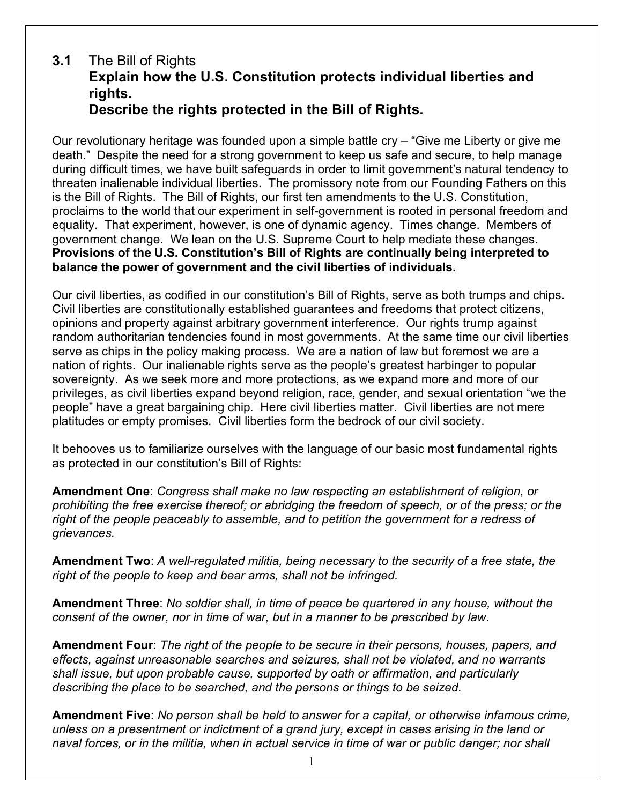## **3.1** The Bill of Rights **Explain how the U.S. Constitution protects individual liberties and rights. Describe the rights protected in the Bill of Rights.**

Our revolutionary heritage was founded upon a simple battle cry – "Give me Liberty or give me death." Despite the need for a strong government to keep us safe and secure, to help manage during difficult times, we have built safeguards in order to limit government's natural tendency to threaten inalienable individual liberties. The promissory note from our Founding Fathers on this is the Bill of Rights. The Bill of Rights, our first ten amendments to the U.S. Constitution, proclaims to the world that our experiment in self-government is rooted in personal freedom and equality. That experiment, however, is one of dynamic agency. Times change. Members of government change. We lean on the U.S. Supreme Court to help mediate these changes. **Provisions of the U.S. Constitution's Bill of Rights are continually being interpreted to balance the power of government and the civil liberties of individuals.**

Our civil liberties, as codified in our constitution's Bill of Rights, serve as both trumps and chips. Civil liberties are constitutionally established guarantees and freedoms that protect citizens, opinions and property against arbitrary government interference. Our rights trump against random authoritarian tendencies found in most governments. At the same time our civil liberties serve as chips in the policy making process. We are a nation of law but foremost we are a nation of rights. Our inalienable rights serve as the people's greatest harbinger to popular sovereignty. As we seek more and more protections, as we expand more and more of our privileges, as civil liberties expand beyond religion, race, gender, and sexual orientation "we the people" have a great bargaining chip. Here civil liberties matter. Civil liberties are not mere platitudes or empty promises. Civil liberties form the bedrock of our civil society.

It behooves us to familiarize ourselves with the language of our basic most fundamental rights as protected in our constitution's Bill of Rights:

**Amendment One**: *Congress shall make no law respecting an establishment of religion, or prohibiting the free exercise thereof; or abridging the freedom of speech, or of the press; or the right of the people peaceably to assemble, and to petition the government for a redress of grievances.*

**Amendment Two**: *A well-regulated militia, being necessary to the security of a free state, the right of the people to keep and bear arms, shall not be infringed.*

**Amendment Three**: *No soldier shall, in time of peace be quartered in any house, without the consent of the owner, nor in time of war, but in a manner to be prescribed by law*.

**Amendment Four**: *The right of the people to be secure in their persons, houses, papers, and effects, against unreasonable searches and seizures, shall not be violated, and no warrants shall issue, but upon probable cause, supported by oath or affirmation, and particularly describing the place to be searched, and the persons or things to be seized.*

**Amendment Five**: *No person shall be held to answer for a capital, or otherwise infamous crime, unless on a presentment or indictment of a grand jury, except in cases arising in the land or naval forces, or in the militia, when in actual service in time of war or public danger; nor shall*